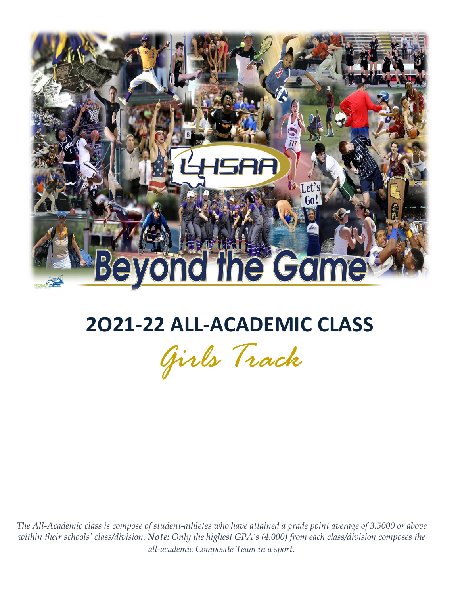

# **2O21-22 ALL-ACADEMIC CLASS**

*Girls Track*

*The All-Academic class is compose of student-athletes who have attained a grade point average of 3.5000 or above within their schools' class/division. Note: Only the highest GPA's (4.000) from each class/division composes the all-academic Composite Team in a sport.*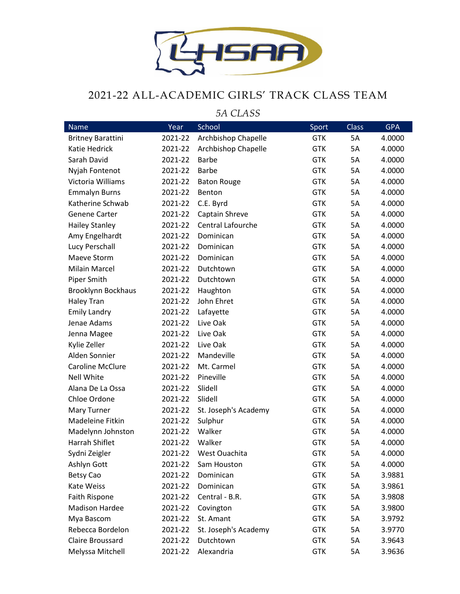

#### 2021-22 ALL-ACADEMIC GIRLS' TRACK CLASS TEAM

*5A CLASS* Name **Year School Sport Class** GPA Britney Barattini 2021-22 Archbishop Chapelle GTK 5A 4.0000 Katie Hedrick 2021-22 Archbishop Chapelle GTK 5A 4.0000 Sarah David 2021-22 Barbe GTK 5A 4.0000 Nviah Fontenot 2021-22 Barbe GTK 5A 4.0000 Victoria Williams  $2021-22$  Baton Rouge 6TK 5A 4.0000 Emmalyn Burns 2021-22 Benton GTK 5A 4.0000 Katherine Schwab 2021-22 C.E. Byrd GTK 5A 4.0000 Genene Carter **2021-22** Captain Shreve **GTK** 5A 4.0000 Hailey Stanley 2021-22 Central Lafourche GTK 5A 4.0000 Amy Engelhardt 2021-22 Dominican GTK 5A 4.0000 Lucy Perschall 2021-22 Dominican GTK 5A 4.0000 Maeve Storm 2021-22 Dominican GTK 5A 4.0000 Milain Marcel 2021-22 Dutchtown GTK 5A 4.0000 Piper Smith **2021-22 Dutchtown** GTK 5A 4.0000 Brooklynn Bockhaus 2021-22 Haughton GTK 5A 4.0000 Haley Tran 2021-22 John Ehret GTK 5A 4.0000 Emily Landry **2021-22 Lafayette** GTK 5A 4.0000 Jenae Adams 2021-22 Live Oak GTK 5A 4.0000 Jenna Magee 2021-22 Live Oak GTK 5A 4.0000 Kylie Zeller **2021-22** Live Oak GTK 5A 4.0000 Alden Sonnier 2021-22 Mandeville GTK 5A 4.0000 Caroline McClure 2021-22 Mt. Carmel GTK 5A 4.0000 Nell White **2021-22 Pineville COME 18 A** 4.0000 Alana De La Ossa 2021-22 Slidell GTK 5A 4.0000 Chloe Ordone 2021-22 Slidell GTK 5A 4.0000 Mary Turner 2021-22 St. Joseph's Academy GTK 5A 4.0000 Madeleine Fitkin  $2021-22$  Sulphur  $3000$  GTK 5A 4.0000 Madelynn Johnston 2021-22 Walker GTK GTK 5A 4.0000 Harrah Shiflet 2021-22 Walker GTK 5A 4.0000 Sydni Zeigler 2021-22 West Ouachita GTK 5A 4.0000 Ashlyn Gott 2021-22 Sam Houston GTK 5A 4.0000 Betsy Cao 2021-22 Dominican GTK 5A 3.9881 Kate Weiss 2021-22 Dominican GTK 5A 3.9861 Faith Rispone 2021-22 Central - B.R. GTK 5A 3.9808 Madison Hardee 2021-22 Covington COME GTK 5A 3.9800 Mya Bascom 2021-22 St. Amant GTK 5A 3.9792 Rebecca Bordelon 2021-22 St. Joseph's Academy GTK 5A 3.9770 Claire Broussard 2021-22 Dutchtown GTK 5A 3.9643 Melyssa Mitchell 2021-22 Alexandria GTK 5A 3.9636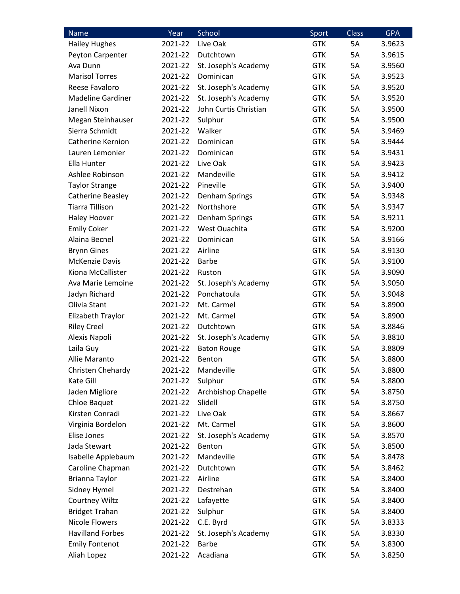| <b>Name</b>              | Year    | School                | Sport      | <b>Class</b> | <b>GPA</b> |
|--------------------------|---------|-----------------------|------------|--------------|------------|
| <b>Hailey Hughes</b>     | 2021-22 | Live Oak              | <b>GTK</b> | 5A           | 3.9623     |
| Peyton Carpenter         | 2021-22 | Dutchtown             | <b>GTK</b> | 5A           | 3.9615     |
| Ava Dunn                 | 2021-22 | St. Joseph's Academy  | <b>GTK</b> | 5A           | 3.9560     |
| <b>Marisol Torres</b>    | 2021-22 | Dominican             | <b>GTK</b> | 5A           | 3.9523     |
| Reese Favaloro           | 2021-22 | St. Joseph's Academy  | <b>GTK</b> | 5A           | 3.9520     |
| <b>Madeline Gardiner</b> | 2021-22 | St. Joseph's Academy  | <b>GTK</b> | 5A           | 3.9520     |
| Janell Nixon             | 2021-22 | John Curtis Christian | <b>GTK</b> | 5A           | 3.9500     |
| Megan Steinhauser        | 2021-22 | Sulphur               | <b>GTK</b> | 5A           | 3.9500     |
| Sierra Schmidt           | 2021-22 | Walker                | <b>GTK</b> | 5A           | 3.9469     |
| Catherine Kernion        | 2021-22 | Dominican             | <b>GTK</b> | 5A           | 3.9444     |
| Lauren Lemonier          | 2021-22 | Dominican             | <b>GTK</b> | 5A           | 3.9431     |
| Ella Hunter              | 2021-22 | Live Oak              | <b>GTK</b> | 5A           | 3.9423     |
| Ashlee Robinson          | 2021-22 | Mandeville            | <b>GTK</b> | 5A           | 3.9412     |
| <b>Taylor Strange</b>    | 2021-22 | Pineville             | <b>GTK</b> | 5A           | 3.9400     |
| Catherine Beasley        | 2021-22 | Denham Springs        | <b>GTK</b> | 5A           | 3.9348     |
| <b>Tiarra Tillison</b>   | 2021-22 | Northshore            | <b>GTK</b> | 5A           | 3.9347     |
| <b>Haley Hoover</b>      | 2021-22 | Denham Springs        | <b>GTK</b> | 5A           | 3.9211     |
| <b>Emily Coker</b>       | 2021-22 | West Ouachita         | <b>GTK</b> | 5A           | 3.9200     |
| Alaina Becnel            | 2021-22 | Dominican             | <b>GTK</b> | 5A           | 3.9166     |
| <b>Brynn Gines</b>       | 2021-22 | Airline               | <b>GTK</b> | 5A           | 3.9130     |
| <b>McKenzie Davis</b>    | 2021-22 | <b>Barbe</b>          | <b>GTK</b> | 5A           | 3.9100     |
| Kiona McCallister        | 2021-22 | Ruston                | <b>GTK</b> | 5A           | 3.9090     |
| Ava Marie Lemoine        | 2021-22 | St. Joseph's Academy  | <b>GTK</b> | 5A           | 3.9050     |
| Jadyn Richard            | 2021-22 | Ponchatoula           | <b>GTK</b> | 5A           | 3.9048     |
| Olivia Stant             | 2021-22 | Mt. Carmel            | <b>GTK</b> | 5A           | 3.8900     |
| Elizabeth Traylor        | 2021-22 | Mt. Carmel            | <b>GTK</b> | 5A           | 3.8900     |
| <b>Riley Creel</b>       | 2021-22 | Dutchtown             | <b>GTK</b> | 5A           | 3.8846     |
| Alexis Napoli            | 2021-22 | St. Joseph's Academy  | <b>GTK</b> | 5A           | 3.8810     |
| Laila Guy                | 2021-22 | <b>Baton Rouge</b>    | <b>GTK</b> | 5A           | 3.8809     |
| Allie Maranto            | 2021-22 | Benton                | <b>GTK</b> | 5A           | 3.8800     |
| Christen Chehardy        | 2021-22 | Mandeville            | <b>GTK</b> | 5A           | 3.8800     |
| Kate Gill                | 2021-22 | Sulphur               | <b>GTK</b> | 5A           | 3.8800     |
| Jaden Migliore           | 2021-22 | Archbishop Chapelle   | <b>GTK</b> | 5A           | 3.8750     |
| <b>Chloe Baquet</b>      | 2021-22 | Slidell               | <b>GTK</b> | 5A           | 3.8750     |
| Kirsten Conradi          | 2021-22 | Live Oak              | <b>GTK</b> | 5A           | 3.8667     |
| Virginia Bordelon        | 2021-22 | Mt. Carmel            | <b>GTK</b> | 5A           | 3.8600     |
| Elise Jones              | 2021-22 | St. Joseph's Academy  | <b>GTK</b> | 5A           | 3.8570     |
| Jada Stewart             | 2021-22 | Benton                | <b>GTK</b> | 5A           | 3.8500     |
| Isabelle Applebaum       | 2021-22 | Mandeville            | <b>GTK</b> | 5A           | 3.8478     |
| Caroline Chapman         | 2021-22 | Dutchtown             | <b>GTK</b> | 5A           | 3.8462     |
| Brianna Taylor           | 2021-22 | Airline               | <b>GTK</b> | 5A           | 3.8400     |
| Sidney Hymel             | 2021-22 | Destrehan             | <b>GTK</b> | 5A           | 3.8400     |
| Courtney Wiltz           | 2021-22 | Lafayette             | <b>GTK</b> | 5A           | 3.8400     |
| <b>Bridget Trahan</b>    | 2021-22 | Sulphur               | <b>GTK</b> | 5A           | 3.8400     |
| <b>Nicole Flowers</b>    | 2021-22 | C.E. Byrd             | <b>GTK</b> | 5A           | 3.8333     |
| <b>Havilland Forbes</b>  | 2021-22 | St. Joseph's Academy  | <b>GTK</b> | 5A           | 3.8330     |
| <b>Emily Fontenot</b>    | 2021-22 | <b>Barbe</b>          | <b>GTK</b> | 5A           | 3.8300     |
| Aliah Lopez              | 2021-22 | Acadiana              | <b>GTK</b> | 5A           | 3.8250     |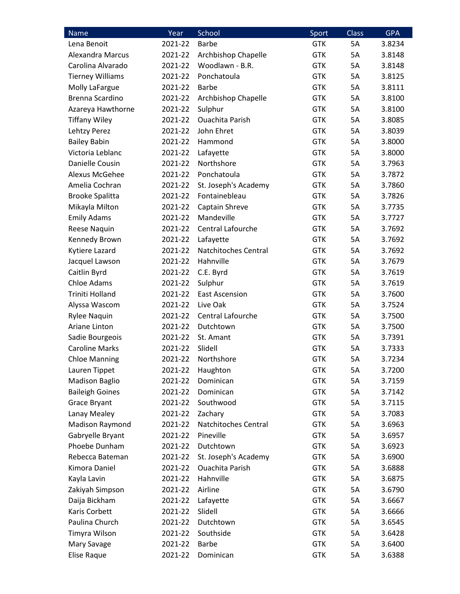| <b>Name</b>             | Year    | School                 | Sport      | <b>Class</b> | <b>GPA</b> |
|-------------------------|---------|------------------------|------------|--------------|------------|
| Lena Benoit             | 2021-22 | <b>Barbe</b>           | <b>GTK</b> | 5A           | 3.8234     |
| Alexandra Marcus        | 2021-22 | Archbishop Chapelle    | <b>GTK</b> | 5A           | 3.8148     |
| Carolina Alvarado       | 2021-22 | Woodlawn - B.R.        | <b>GTK</b> | 5A           | 3.8148     |
| <b>Tierney Williams</b> | 2021-22 | Ponchatoula            | <b>GTK</b> | 5A           | 3.8125     |
| Molly LaFargue          | 2021-22 | <b>Barbe</b>           | <b>GTK</b> | 5A           | 3.8111     |
| Brenna Scardino         | 2021-22 | Archbishop Chapelle    | <b>GTK</b> | 5A           | 3.8100     |
| Azareya Hawthorne       | 2021-22 | Sulphur                | <b>GTK</b> | 5A           | 3.8100     |
| <b>Tiffany Wiley</b>    | 2021-22 | <b>Ouachita Parish</b> | <b>GTK</b> | 5A           | 3.8085     |
| Lehtzy Perez            | 2021-22 | John Ehret             | <b>GTK</b> | 5A           | 3.8039     |
| <b>Bailey Babin</b>     | 2021-22 | Hammond                | <b>GTK</b> | 5A           | 3.8000     |
| Victoria Leblanc        | 2021-22 | Lafayette              | <b>GTK</b> | 5A           | 3.8000     |
| Danielle Cousin         | 2021-22 | Northshore             | <b>GTK</b> | 5A           | 3.7963     |
| Alexus McGehee          | 2021-22 | Ponchatoula            | <b>GTK</b> | 5A           | 3.7872     |
| Amelia Cochran          | 2021-22 | St. Joseph's Academy   | <b>GTK</b> | 5A           | 3.7860     |
| <b>Brooke Spalitta</b>  | 2021-22 | Fontainebleau          | <b>GTK</b> | 5A           | 3.7826     |
| Mikayla Milton          | 2021-22 | Captain Shreve         | <b>GTK</b> | 5A           | 3.7735     |
| <b>Emily Adams</b>      | 2021-22 | Mandeville             | <b>GTK</b> | 5A           | 3.7727     |
| Reese Naquin            | 2021-22 | Central Lafourche      | <b>GTK</b> | 5A           | 3.7692     |
| Kennedy Brown           | 2021-22 | Lafayette              | <b>GTK</b> | 5A           | 3.7692     |
| Kytiere Lazard          | 2021-22 | Natchitoches Central   | <b>GTK</b> | <b>5A</b>    | 3.7692     |
| Jacquel Lawson          | 2021-22 | Hahnville              | <b>GTK</b> | 5A           | 3.7679     |
| Caitlin Byrd            | 2021-22 | C.E. Byrd              | <b>GTK</b> | 5A           | 3.7619     |
| <b>Chloe Adams</b>      | 2021-22 | Sulphur                | <b>GTK</b> | 5A           | 3.7619     |
| Triniti Holland         | 2021-22 | <b>East Ascension</b>  | <b>GTK</b> | 5A           | 3.7600     |
| Alyssa Wascom           | 2021-22 | Live Oak               | <b>GTK</b> | 5A           | 3.7524     |
| <b>Rylee Naquin</b>     | 2021-22 | Central Lafourche      | <b>GTK</b> | 5A           | 3.7500     |
| Ariane Linton           | 2021-22 | Dutchtown              | <b>GTK</b> | 5A           | 3.7500     |
| Sadie Bourgeois         | 2021-22 | St. Amant              | <b>GTK</b> | 5A           | 3.7391     |
| <b>Caroline Marks</b>   | 2021-22 | Slidell                | <b>GTK</b> | 5A           | 3.7333     |
| <b>Chloe Manning</b>    | 2021-22 | Northshore             | <b>GTK</b> | 5A           | 3.7234     |
| Lauren Tippet           | 2021-22 | Haughton               | <b>GTK</b> | 5A           | 3.7200     |
| <b>Madison Baglio</b>   | 2021-22 | Dominican              | <b>GTK</b> | 5A           | 3.7159     |
| <b>Baileigh Goines</b>  | 2021-22 | Dominican              | <b>GTK</b> | 5A           | 3.7142     |
| Grace Bryant            | 2021-22 | Southwood              | <b>GTK</b> | 5A           | 3.7115     |
| Lanay Mealey            | 2021-22 | Zachary                | <b>GTK</b> | 5A           | 3.7083     |
| Madison Raymond         | 2021-22 | Natchitoches Central   | <b>GTK</b> | 5A           | 3.6963     |
| Gabryelle Bryant        | 2021-22 | Pineville              | <b>GTK</b> | 5A           | 3.6957     |
| Phoebe Dunham           | 2021-22 | Dutchtown              | <b>GTK</b> | 5A           | 3.6923     |
| Rebecca Bateman         | 2021-22 | St. Joseph's Academy   | <b>GTK</b> | 5A           | 3.6900     |
| Kimora Daniel           | 2021-22 | <b>Ouachita Parish</b> | <b>GTK</b> | 5A           | 3.6888     |
| Kayla Lavin             | 2021-22 | Hahnville              | <b>GTK</b> | 5A           | 3.6875     |
| Zakiyah Simpson         | 2021-22 | Airline                | <b>GTK</b> | 5A           | 3.6790     |
| Daija Bickham           | 2021-22 | Lafayette              | <b>GTK</b> | 5A           | 3.6667     |
| Karis Corbett           | 2021-22 | Slidell                | <b>GTK</b> | 5A           | 3.6666     |
| Paulina Church          | 2021-22 | Dutchtown              | <b>GTK</b> | 5A           | 3.6545     |
| Timyra Wilson           | 2021-22 | Southside              | <b>GTK</b> | 5A           | 3.6428     |
| Mary Savage             | 2021-22 | <b>Barbe</b>           | <b>GTK</b> | 5A           | 3.6400     |
| Elise Raque             | 2021-22 | Dominican              | <b>GTK</b> | 5A           | 3.6388     |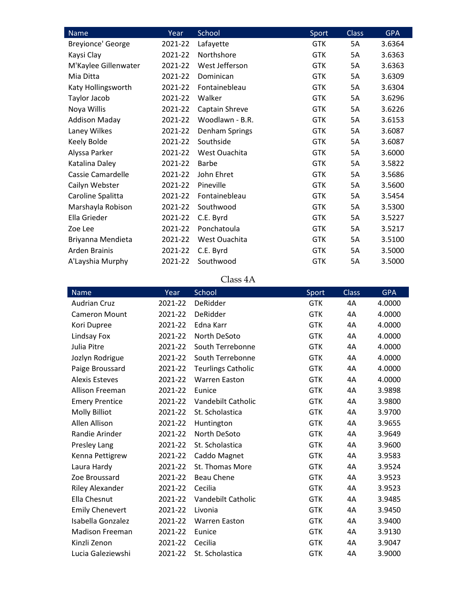| <b>Name</b>          | Year    | School          | Sport      | <b>Class</b> | <b>GPA</b> |
|----------------------|---------|-----------------|------------|--------------|------------|
| Breyionce' George    | 2021-22 | Lafayette       | <b>GTK</b> | 5A           | 3.6364     |
| Kaysi Clay           | 2021-22 | Northshore      | <b>GTK</b> | 5A           | 3.6363     |
| M'Kaylee Gillenwater | 2021-22 | West Jefferson  | <b>GTK</b> | 5A           | 3.6363     |
| Mia Ditta            | 2021-22 | Dominican       | <b>GTK</b> | 5A           | 3.6309     |
| Katy Hollingsworth   | 2021-22 | Fontainebleau   | <b>GTK</b> | 5A           | 3.6304     |
| Taylor Jacob         | 2021-22 | Walker          | <b>GTK</b> | 5A           | 3.6296     |
| Noya Willis          | 2021-22 | Captain Shreve  | <b>GTK</b> | 5A           | 3.6226     |
| <b>Addison Maday</b> | 2021-22 | Woodlawn - B.R. | <b>GTK</b> | 5A           | 3.6153     |
| Laney Wilkes         | 2021-22 | Denham Springs  | <b>GTK</b> | 5A           | 3.6087     |
| Keely Bolde          | 2021-22 | Southside       | <b>GTK</b> | 5A           | 3.6087     |
| Alyssa Parker        | 2021-22 | West Ouachita   | <b>GTK</b> | 5A           | 3.6000     |
| Katalina Daley       | 2021-22 | Barbe           | <b>GTK</b> | 5A           | 3.5822     |
| Cassie Camardelle    | 2021-22 | John Ehret      | <b>GTK</b> | 5A           | 3.5686     |
| Cailyn Webster       | 2021-22 | Pineville       | <b>GTK</b> | 5A           | 3.5600     |
| Caroline Spalitta    | 2021-22 | Fontainebleau   | <b>GTK</b> | 5A           | 3.5454     |
| Marshayla Robison    | 2021-22 | Southwood       | <b>GTK</b> | 5A           | 3.5300     |
| Ella Grieder         | 2021-22 | C.E. Byrd       | <b>GTK</b> | 5A           | 3.5227     |
| Zoe Lee              | 2021-22 | Ponchatoula     | <b>GTK</b> | 5A           | 3.5217     |
| Briyanna Mendieta    | 2021-22 | West Ouachita   | <b>GTK</b> | 5A           | 3.5100     |
| Arden Brainis        | 2021-22 | C.E. Byrd       | <b>GTK</b> | 5A           | 3.5000     |
| A'Layshia Murphy     | 2021-22 | Southwood       | <b>GTK</b> | 5A           | 3.5000     |

Class 4A

| <b>Name</b>            | Year    | School                    | Sport      | <b>Class</b> | <b>GPA</b> |
|------------------------|---------|---------------------------|------------|--------------|------------|
| <b>Audrian Cruz</b>    | 2021-22 | DeRidder                  | <b>GTK</b> | 4A           | 4.0000     |
| <b>Cameron Mount</b>   | 2021-22 | DeRidder                  | <b>GTK</b> | 4A           | 4.0000     |
| Kori Dupree            | 2021-22 | Edna Karr                 | <b>GTK</b> | 4A           | 4.0000     |
| Lindsay Fox            | 2021-22 | North DeSoto              | <b>GTK</b> | 4A           | 4.0000     |
| Julia Pitre            | 2021-22 | South Terrebonne          | <b>GTK</b> | 4A           | 4.0000     |
| Jozlyn Rodrigue        | 2021-22 | South Terrebonne          | <b>GTK</b> | 4A           | 4.0000     |
| Paige Broussard        | 2021-22 | <b>Teurlings Catholic</b> | <b>GTK</b> | 4A           | 4.0000     |
| <b>Alexis Esteves</b>  | 2021-22 | <b>Warren Easton</b>      | <b>GTK</b> | 4A           | 4.0000     |
| Allison Freeman        | 2021-22 | Eunice                    | <b>GTK</b> | 4A           | 3.9898     |
| <b>Emery Prentice</b>  | 2021-22 | Vandebilt Catholic        | <b>GTK</b> | 4A           | 3.9800     |
| <b>Molly Billiot</b>   | 2021-22 | St. Scholastica           | <b>GTK</b> | 4A           | 3.9700     |
| Allen Allison          | 2021-22 | Huntington                | <b>GTK</b> | 4A           | 3.9655     |
| Randie Arinder         | 2021-22 | North DeSoto              | <b>GTK</b> | 4A           | 3.9649     |
| Presley Lang           | 2021-22 | St. Scholastica           | <b>GTK</b> | 4A           | 3.9600     |
| Kenna Pettigrew        | 2021-22 | Caddo Magnet              | <b>GTK</b> | 4A           | 3.9583     |
| Laura Hardy            | 2021-22 | St. Thomas More           | <b>GTK</b> | 4A           | 3.9524     |
| Zoe Broussard          | 2021-22 | <b>Beau Chene</b>         | <b>GTK</b> | 4A           | 3.9523     |
| <b>Riley Alexander</b> | 2021-22 | Cecilia                   | <b>GTK</b> | 4A           | 3.9523     |
| Ella Chesnut           | 2021-22 | Vandebilt Catholic        | <b>GTK</b> | 4A           | 3.9485     |
| <b>Emily Chenevert</b> | 2021-22 | Livonia                   | <b>GTK</b> | 4A           | 3.9450     |
| Isabella Gonzalez      | 2021-22 | <b>Warren Easton</b>      | <b>GTK</b> | 4A           | 3.9400     |
| <b>Madison Freeman</b> | 2021-22 | Eunice                    | <b>GTK</b> | 4A           | 3.9130     |
| Kinzli Zenon           | 2021-22 | Cecilia                   | <b>GTK</b> | 4A           | 3.9047     |
| Lucia Galeziewshi      | 2021-22 | St. Scholastica           | <b>GTK</b> | 4A           | 3.9000     |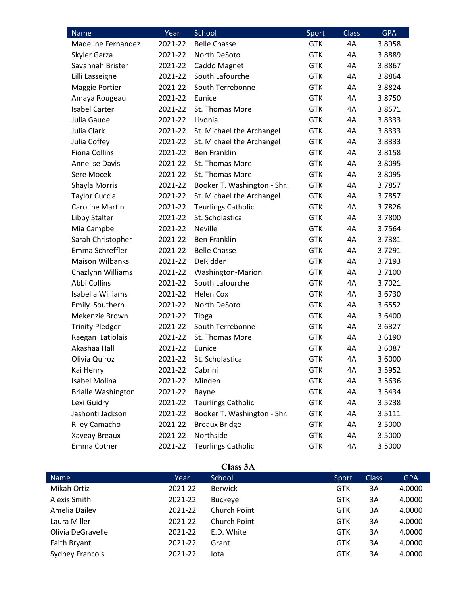| Name                      | Year    | School                      | Sport      | <b>Class</b> | <b>GPA</b> |
|---------------------------|---------|-----------------------------|------------|--------------|------------|
| Madeline Fernandez        | 2021-22 | <b>Belle Chasse</b>         | <b>GTK</b> | 4A           | 3.8958     |
| Skyler Garza              | 2021-22 | North DeSoto                | <b>GTK</b> | 4A           | 3.8889     |
| Savannah Brister          | 2021-22 | Caddo Magnet                | <b>GTK</b> | 4A           | 3.8867     |
| Lilli Lasseigne           | 2021-22 | South Lafourche             | <b>GTK</b> | 4A           | 3.8864     |
| Maggie Portier            | 2021-22 | South Terrebonne            | <b>GTK</b> | 4A           | 3.8824     |
| Amaya Rougeau             | 2021-22 | Eunice                      | <b>GTK</b> | 4A           | 3.8750     |
| <b>Isabel Carter</b>      | 2021-22 | St. Thomas More             | <b>GTK</b> | 4A           | 3.8571     |
| Julia Gaude               | 2021-22 | Livonia                     | <b>GTK</b> | 4A           | 3.8333     |
| Julia Clark               | 2021-22 | St. Michael the Archangel   | <b>GTK</b> | 4A           | 3.8333     |
| Julia Coffey              | 2021-22 | St. Michael the Archangel   | <b>GTK</b> | 4A           | 3.8333     |
| <b>Fiona Collins</b>      | 2021-22 | <b>Ben Franklin</b>         | <b>GTK</b> | 4A           | 3.8158     |
| <b>Annelise Davis</b>     | 2021-22 | St. Thomas More             | <b>GTK</b> | 4A           | 3.8095     |
| Sere Mocek                | 2021-22 | St. Thomas More             | <b>GTK</b> | 4A           | 3.8095     |
| Shayla Morris             | 2021-22 | Booker T. Washington - Shr. | <b>GTK</b> | 4A           | 3.7857     |
| <b>Taylor Cuccia</b>      | 2021-22 | St. Michael the Archangel   | <b>GTK</b> | 4A           | 3.7857     |
| <b>Caroline Martin</b>    | 2021-22 | <b>Teurlings Catholic</b>   | <b>GTK</b> | 4A           | 3.7826     |
| Libby Stalter             | 2021-22 | St. Scholastica             | <b>GTK</b> | 4A           | 3.7800     |
| Mia Campbell              | 2021-22 | <b>Neville</b>              | <b>GTK</b> | 4A           | 3.7564     |
| Sarah Christopher         | 2021-22 | <b>Ben Franklin</b>         | <b>GTK</b> | 4A           | 3.7381     |
| Emma Schreffler           | 2021-22 | <b>Belle Chasse</b>         | <b>GTK</b> | 4A           | 3.7291     |
| <b>Maison Wilbanks</b>    | 2021-22 | DeRidder                    | <b>GTK</b> | 4A           | 3.7193     |
| Chazlynn Williams         | 2021-22 | <b>Washington-Marion</b>    | <b>GTK</b> | 4A           | 3.7100     |
| Abbi Collins              | 2021-22 | South Lafourche             | <b>GTK</b> | 4A           | 3.7021     |
| Isabella Williams         | 2021-22 | <b>Helen Cox</b>            | <b>GTK</b> | 4A           | 3.6730     |
| Emily Southern            | 2021-22 | North DeSoto                | <b>GTK</b> | 4A           | 3.6552     |
| Mekenzie Brown            | 2021-22 | Tioga                       | <b>GTK</b> | 4A           | 3.6400     |
| <b>Trinity Pledger</b>    | 2021-22 | South Terrebonne            | <b>GTK</b> | 4A           | 3.6327     |
| Raegan Latiolais          | 2021-22 | St. Thomas More             | GTK        | 4A           | 3.6190     |
| Akashaa Hall              | 2021-22 | Eunice                      | <b>GTK</b> | 4A           | 3.6087     |
| Olivia Quiroz             | 2021-22 | St. Scholastica             | <b>GTK</b> | 4A           | 3.6000     |
| Kai Henry                 | 2021-22 | Cabrini                     | <b>GTK</b> | 4A           | 3.5952     |
| <b>Isabel Molina</b>      | 2021-22 | Minden                      | <b>GTK</b> | 4A           | 3.5636     |
| <b>Brialle Washington</b> | 2021-22 | Rayne                       | <b>GTK</b> | 4A           | 3.5434     |
| Lexi Guidry               | 2021-22 | <b>Teurlings Catholic</b>   | <b>GTK</b> | 4A           | 3.5238     |
| Jashonti Jackson          | 2021-22 | Booker T. Washington - Shr. | <b>GTK</b> | 4A           | 3.5111     |
| Riley Camacho             | 2021-22 | <b>Breaux Bridge</b>        | <b>GTK</b> | 4A           | 3.5000     |
| Xaveay Breaux             | 2021-22 | Northside                   | <b>GTK</b> | 4A           | 3.5000     |
| Emma Cother               | 2021-22 | <b>Teurlings Catholic</b>   | <b>GTK</b> | 4A           | 3.5000     |

| 488 -<br>и |  |
|------------|--|
|------------|--|

|         | UMBO ULA       |            |              |            |
|---------|----------------|------------|--------------|------------|
| Year    | School         | Sport      | <b>Class</b> | <b>GPA</b> |
| 2021-22 | <b>Berwick</b> | GTK        | 3A           | 4.0000     |
| 2021-22 | <b>Buckeye</b> | GTK        | 3A           | 4.0000     |
| 2021-22 | Church Point   | GTK        | 3A           | 4.0000     |
| 2021-22 | Church Point   | GTK        | 3A           | 4.0000     |
| 2021-22 | E.D. White     | GTK        | 3A           | 4.0000     |
| 2021-22 | Grant          | GTK        | 3A           | 4.0000     |
| 2021-22 | lota           | <b>GTK</b> | 3A           | 4.0000     |
|         |                |            |              |            |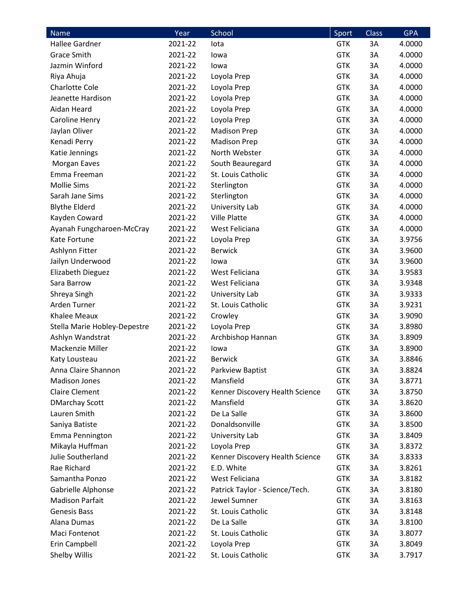| Name                         | Year    | School                          | Sport      | <b>Class</b> | <b>GPA</b> |
|------------------------------|---------|---------------------------------|------------|--------------|------------|
| Hallee Gardner               | 2021-22 | lota                            | <b>GTK</b> | 3A           | 4.0000     |
| <b>Grace Smith</b>           | 2021-22 | lowa                            | <b>GTK</b> | 3A           | 4.0000     |
| Jazmin Winford               | 2021-22 | lowa                            | <b>GTK</b> | 3A           | 4.0000     |
| Riya Ahuja                   | 2021-22 | Loyola Prep                     | <b>GTK</b> | 3A           | 4.0000     |
| <b>Charlotte Cole</b>        | 2021-22 | Loyola Prep                     | <b>GTK</b> | 3A           | 4.0000     |
| Jeanette Hardison            | 2021-22 | Loyola Prep                     | <b>GTK</b> | 3A           | 4.0000     |
| Aidan Heard                  | 2021-22 | Loyola Prep                     | <b>GTK</b> | 3A           | 4.0000     |
| Caroline Henry               | 2021-22 | Loyola Prep                     | <b>GTK</b> | 3A           | 4.0000     |
| Jaylan Oliver                | 2021-22 | <b>Madison Prep</b>             | <b>GTK</b> | 3A           | 4.0000     |
| Kenadi Perry                 | 2021-22 | <b>Madison Prep</b>             | <b>GTK</b> | 3A           | 4.0000     |
| Katie Jennings               | 2021-22 | North Webster                   | <b>GTK</b> | 3A           | 4.0000     |
| Morgan Eaves                 | 2021-22 | South Beauregard                | <b>GTK</b> | 3A           | 4.0000     |
| Emma Freeman                 | 2021-22 | St. Louis Catholic              | <b>GTK</b> | 3A           | 4.0000     |
| <b>Mollie Sims</b>           | 2021-22 | Sterlington                     | <b>GTK</b> | 3A           | 4.0000     |
| Sarah Jane Sims              | 2021-22 | Sterlington                     | <b>GTK</b> | 3A           | 4.0000     |
| <b>Blythe Elderd</b>         | 2021-22 | University Lab                  | <b>GTK</b> | 3A           | 4.0000     |
| Kayden Coward                | 2021-22 | Ville Platte                    | <b>GTK</b> | 3A           | 4.0000     |
| Ayanah Fungcharoen-McCray    | 2021-22 | West Feliciana                  | <b>GTK</b> | 3A           | 4.0000     |
| Kate Fortune                 | 2021-22 | Loyola Prep                     | <b>GTK</b> | 3A           | 3.9756     |
| Ashlynn Fitter               | 2021-22 | <b>Berwick</b>                  | <b>GTK</b> | 3A           | 3.9600     |
| Jailyn Underwood             | 2021-22 | lowa                            | <b>GTK</b> | 3A           | 3.9600     |
| Elizabeth Dieguez            | 2021-22 | West Feliciana                  | <b>GTK</b> | 3A           | 3.9583     |
| Sara Barrow                  | 2021-22 | West Feliciana                  | <b>GTK</b> | 3A           | 3.9348     |
| Shreya Singh                 | 2021-22 | University Lab                  | <b>GTK</b> | 3A           | 3.9333     |
| Arden Turner                 | 2021-22 | St. Louis Catholic              | <b>GTK</b> | 3A           | 3.9231     |
| Khalee Meaux                 | 2021-22 | Crowley                         | <b>GTK</b> | 3A           | 3.9090     |
| Stella Marie Hobley-Depestre | 2021-22 | Loyola Prep                     | <b>GTK</b> | 3A           | 3.8980     |
| Ashlyn Wandstrat             | 2021-22 | Archbishop Hannan               | <b>GTK</b> | 3A           | 3.8909     |
| Mackenzie Miller             | 2021-22 | lowa                            | <b>GTK</b> | 3A           | 3.8900     |
| Katy Lousteau                | 2021-22 | <b>Berwick</b>                  | <b>GTK</b> | 3A           | 3.8846     |
| Anna Claire Shannon          | 2021-22 | Parkview Baptist                | <b>GTK</b> | 3A           | 3.8824     |
| <b>Madison Jones</b>         | 2021-22 | Mansfield                       | <b>GTK</b> | 3A           | 3.8771     |
| <b>Claire Clement</b>        | 2021-22 | Kenner Discovery Health Science | <b>GTK</b> | 3A           | 3.8750     |
| <b>DMarchay Scott</b>        | 2021-22 | Mansfield                       | <b>GTK</b> | 3A           | 3.8620     |
| Lauren Smith                 | 2021-22 | De La Salle                     | <b>GTK</b> | 3A           | 3.8600     |
| Saniya Batiste               | 2021-22 | Donaldsonville                  | <b>GTK</b> | 3A           | 3.8500     |
| Emma Pennington              | 2021-22 | University Lab                  | <b>GTK</b> | 3A           | 3.8409     |
| Mikayla Huffman              | 2021-22 | Loyola Prep                     | <b>GTK</b> | 3A           | 3.8372     |
| Julie Southerland            | 2021-22 | Kenner Discovery Health Science | <b>GTK</b> | 3A           | 3.8333     |
| Rae Richard                  | 2021-22 | E.D. White                      | <b>GTK</b> | 3A           | 3.8261     |
| Samantha Ponzo               | 2021-22 | West Feliciana                  | <b>GTK</b> | 3A           | 3.8182     |
| Gabrielle Alphonse           | 2021-22 | Patrick Taylor - Science/Tech.  | <b>GTK</b> | 3A           | 3.8180     |
| <b>Madison Parfait</b>       | 2021-22 | Jewel Sumner                    | <b>GTK</b> | 3A           | 3.8163     |
| <b>Genesis Bass</b>          | 2021-22 | St. Louis Catholic              | <b>GTK</b> | 3A           | 3.8148     |
| Alana Dumas                  | 2021-22 | De La Salle                     | <b>GTK</b> | 3A           | 3.8100     |
| Maci Fontenot                | 2021-22 | St. Louis Catholic              | <b>GTK</b> | 3A           | 3.8077     |
| Erin Campbell                | 2021-22 | Loyola Prep                     | <b>GTK</b> | 3A           | 3.8049     |
| Shelby Willis                | 2021-22 | St. Louis Catholic              | <b>GTK</b> | 3A           | 3.7917     |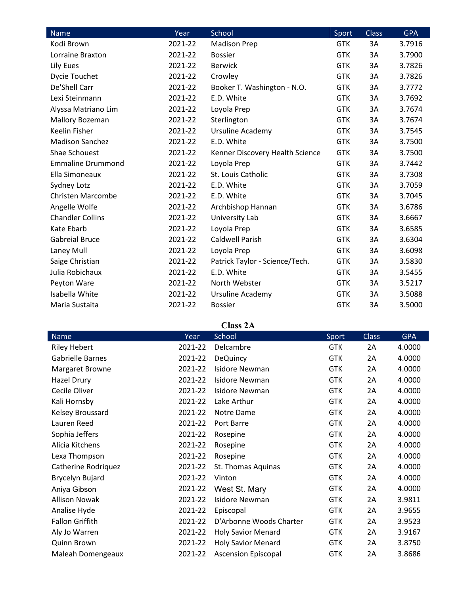| Name                     | Year    | School                          | Sport      | <b>Class</b> | <b>GPA</b> |
|--------------------------|---------|---------------------------------|------------|--------------|------------|
| Kodi Brown               | 2021-22 | <b>Madison Prep</b>             | <b>GTK</b> | 3A           | 3.7916     |
| Lorraine Braxton         | 2021-22 | <b>Bossier</b>                  | <b>GTK</b> | 3A           | 3.7900     |
| Lily Eues                | 2021-22 | <b>Berwick</b>                  | <b>GTK</b> | 3A           | 3.7826     |
| Dycie Touchet            | 2021-22 | Crowley                         | <b>GTK</b> | 3A           | 3.7826     |
| De'Shell Carr            | 2021-22 | Booker T. Washington - N.O.     | <b>GTK</b> | 3A           | 3.7772     |
| Lexi Steinmann           | 2021-22 | E.D. White                      | <b>GTK</b> | 3A           | 3.7692     |
| Alyssa Matriano Lim      | 2021-22 | Loyola Prep                     | <b>GTK</b> | 3A           | 3.7674     |
| Mallory Bozeman          | 2021-22 | Sterlington                     | <b>GTK</b> | 3A           | 3.7674     |
| Keelin Fisher            | 2021-22 | <b>Ursuline Academy</b>         | <b>GTK</b> | 3A           | 3.7545     |
| <b>Madison Sanchez</b>   | 2021-22 | E.D. White                      | <b>GTK</b> | 3A           | 3.7500     |
| Shae Schouest            | 2021-22 | Kenner Discovery Health Science | <b>GTK</b> | 3A           | 3.7500     |
| <b>Emmaline Drummond</b> | 2021-22 | Loyola Prep                     | <b>GTK</b> | 3A           | 3.7442     |
| Ella Simoneaux           | 2021-22 | St. Louis Catholic              | <b>GTK</b> | 3A           | 3.7308     |
| Sydney Lotz              | 2021-22 | E.D. White                      | <b>GTK</b> | 3A           | 3.7059     |
| <b>Christen Marcombe</b> | 2021-22 | E.D. White                      | <b>GTK</b> | 3A           | 3.7045     |
| Angelle Wolfe            | 2021-22 | Archbishop Hannan               | <b>GTK</b> | 3A           | 3.6786     |
| <b>Chandler Collins</b>  | 2021-22 | University Lab                  | <b>GTK</b> | 3A           | 3.6667     |
| Kate Ebarb               | 2021-22 | Loyola Prep                     | <b>GTK</b> | 3A           | 3.6585     |
| <b>Gabreial Bruce</b>    | 2021-22 | <b>Caldwell Parish</b>          | <b>GTK</b> | 3A           | 3.6304     |
| Laney Mull               | 2021-22 | Loyola Prep                     | <b>GTK</b> | 3A           | 3.6098     |
| Saige Christian          | 2021-22 | Patrick Taylor - Science/Tech.  | <b>GTK</b> | 3A           | 3.5830     |
| Julia Robichaux          | 2021-22 | E.D. White                      | <b>GTK</b> | 3A           | 3.5455     |
| Peyton Ware              | 2021-22 | North Webster                   | <b>GTK</b> | 3A           | 3.5217     |
| Isabella White           | 2021-22 | Ursuline Academy                | <b>GTK</b> | 3A           | 3.5088     |
| Maria Sustaita           | 2021-22 | <b>Bossier</b>                  | <b>GTK</b> | 3A           | 3.5000     |

#### **Class 2A**

|                         |         | Спаээ 21 х                 |            |              |            |
|-------------------------|---------|----------------------------|------------|--------------|------------|
| Name                    | Year    | School                     | Sport      | <b>Class</b> | <b>GPA</b> |
| <b>Riley Hebert</b>     | 2021-22 | Delcambre                  | <b>GTK</b> | 2A           | 4.0000     |
| <b>Gabrielle Barnes</b> | 2021-22 | <b>DeQuincy</b>            | <b>GTK</b> | 2A           | 4.0000     |
| Margaret Browne         | 2021-22 | <b>Isidore Newman</b>      | <b>GTK</b> | 2A           | 4.0000     |
| Hazel Drury             | 2021-22 | <b>Isidore Newman</b>      | <b>GTK</b> | 2A           | 4.0000     |
| Cecile Oliver           | 2021-22 | <b>Isidore Newman</b>      | <b>GTK</b> | 2A           | 4.0000     |
| Kali Hornsby            | 2021-22 | Lake Arthur                | <b>GTK</b> | 2A           | 4.0000     |
| Kelsey Broussard        | 2021-22 | Notre Dame                 | <b>GTK</b> | 2A           | 4.0000     |
| Lauren Reed             | 2021-22 | Port Barre                 | <b>GTK</b> | 2A           | 4.0000     |
| Sophia Jeffers          | 2021-22 | Rosepine                   | <b>GTK</b> | 2A           | 4.0000     |
| Alicia Kitchens         | 2021-22 | Rosepine                   | <b>GTK</b> | 2A           | 4.0000     |
| Lexa Thompson           | 2021-22 | Rosepine                   | <b>GTK</b> | 2A           | 4.0000     |
| Catherine Rodriquez     | 2021-22 | St. Thomas Aquinas         | <b>GTK</b> | 2A           | 4.0000     |
| Brycelyn Bujard         | 2021-22 | Vinton                     | <b>GTK</b> | 2A           | 4.0000     |
| Aniya Gibson            | 2021-22 | West St. Mary              | <b>GTK</b> | 2A           | 4.0000     |
| <b>Allison Nowak</b>    | 2021-22 | <b>Isidore Newman</b>      | <b>GTK</b> | 2A           | 3.9811     |
| Analise Hyde            | 2021-22 | Episcopal                  | <b>GTK</b> | 2Α           | 3.9655     |
| <b>Fallon Griffith</b>  | 2021-22 | D'Arbonne Woods Charter    | <b>GTK</b> | 2Α           | 3.9523     |
| Aly Jo Warren           | 2021-22 | <b>Holy Savior Menard</b>  | <b>GTK</b> | 2A           | 3.9167     |
| Quinn Brown             | 2021-22 | <b>Holy Savior Menard</b>  | <b>GTK</b> | 2A           | 3.8750     |
| Maleah Domengeaux       | 2021-22 | <b>Ascension Episcopal</b> | <b>GTK</b> | 2Α           | 3.8686     |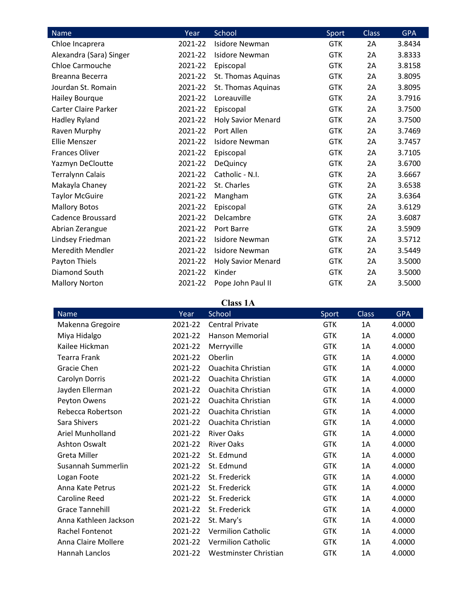| Name                        | Year    | School                    | Sport      | <b>Class</b> | <b>GPA</b> |
|-----------------------------|---------|---------------------------|------------|--------------|------------|
| Chloe Incaprera             | 2021-22 | <b>Isidore Newman</b>     | <b>GTK</b> | 2A           | 3.8434     |
| Alexandra (Sara) Singer     | 2021-22 | <b>Isidore Newman</b>     | <b>GTK</b> | 2A           | 3.8333     |
| <b>Chloe Carmouche</b>      | 2021-22 | Episcopal                 | <b>GTK</b> | 2A           | 3.8158     |
| Breanna Becerra             | 2021-22 | St. Thomas Aquinas        | <b>GTK</b> | 2A           | 3.8095     |
| Jourdan St. Romain          | 2021-22 | St. Thomas Aquinas        | <b>GTK</b> | 2A           | 3.8095     |
| Hailey Bourque              | 2021-22 | Loreauville               | <b>GTK</b> | 2A           | 3.7916     |
| <b>Carter Claire Parker</b> | 2021-22 | Episcopal                 | <b>GTK</b> | 2A           | 3.7500     |
| Hadley Ryland               | 2021-22 | <b>Holy Savior Menard</b> | <b>GTK</b> | 2A           | 3.7500     |
| Raven Murphy                | 2021-22 | Port Allen                | <b>GTK</b> | 2A           | 3.7469     |
| <b>Ellie Menszer</b>        | 2021-22 | Isidore Newman            | <b>GTK</b> | 2A           | 3.7457     |
| <b>Frances Oliver</b>       | 2021-22 | Episcopal                 | <b>GTK</b> | 2A           | 3.7105     |
| Yazmyn DeCloutte            | 2021-22 | <b>DeQuincy</b>           | <b>GTK</b> | 2A           | 3.6700     |
| <b>Terralynn Calais</b>     | 2021-22 | Catholic - N.I.           | <b>GTK</b> | 2A           | 3.6667     |
| Makayla Chaney              | 2021-22 | St. Charles               | <b>GTK</b> | 2A           | 3.6538     |
| <b>Taylor McGuire</b>       | 2021-22 | Mangham                   | <b>GTK</b> | 2A           | 3.6364     |
| <b>Mallory Botos</b>        | 2021-22 | Episcopal                 | <b>GTK</b> | 2A           | 3.6129     |
| Cadence Broussard           | 2021-22 | Delcambre                 | <b>GTK</b> | 2A           | 3.6087     |
| Abrian Zerangue             | 2021-22 | Port Barre                | <b>GTK</b> | 2A           | 3.5909     |
| Lindsey Friedman            | 2021-22 | <b>Isidore Newman</b>     | <b>GTK</b> | 2A           | 3.5712     |
| <b>Meredith Mendler</b>     | 2021-22 | Isidore Newman            | <b>GTK</b> | 2A           | 3.5449     |
| Payton Thiels               | 2021-22 | <b>Holy Savior Menard</b> | <b>GTK</b> | 2A           | 3.5000     |
| Diamond South               | 2021-22 | Kinder                    | <b>GTK</b> | 2A           | 3.5000     |
| <b>Mallory Norton</b>       | 2021-22 | Pope John Paul II         | <b>GTK</b> | 2A           | 3.5000     |

### **Class 1A**

| Name                    | Year    | School                    | Sport      | Class | <b>GPA</b> |
|-------------------------|---------|---------------------------|------------|-------|------------|
| Makenna Gregoire        | 2021-22 | <b>Central Private</b>    | <b>GTK</b> | 1A    | 4.0000     |
| Miya Hidalgo            | 2021-22 | <b>Hanson Memorial</b>    | <b>GTK</b> | 1A    | 4.0000     |
| Kailee Hickman          | 2021-22 | Merryville                | <b>GTK</b> | 1Α    | 4.0000     |
| <b>Tearra Frank</b>     | 2021-22 | Oberlin                   | <b>GTK</b> | 1A    | 4.0000     |
| Gracie Chen             | 2021-22 | <b>Ouachita Christian</b> | <b>GTK</b> | 1A    | 4.0000     |
| Carolyn Dorris          | 2021-22 | <b>Ouachita Christian</b> | <b>GTK</b> | 1Α    | 4.0000     |
| Jayden Ellerman         | 2021-22 | <b>Ouachita Christian</b> | <b>GTK</b> | 1A    | 4.0000     |
| Peyton Owens            | 2021-22 | <b>Ouachita Christian</b> | <b>GTK</b> | 1A    | 4.0000     |
| Rebecca Robertson       | 2021-22 | <b>Ouachita Christian</b> | <b>GTK</b> | 1A    | 4.0000     |
| Sara Shivers            | 2021-22 | <b>Ouachita Christian</b> | <b>GTK</b> | 1A    | 4.0000     |
| <b>Ariel Munholland</b> | 2021-22 | <b>River Oaks</b>         | <b>GTK</b> | 1Α    | 4.0000     |
| Ashton Oswalt           | 2021-22 | <b>River Oaks</b>         | <b>GTK</b> | 1A    | 4.0000     |
| <b>Greta Miller</b>     | 2021-22 | St. Edmund                | <b>GTK</b> | 1Α    | 4.0000     |
| Susannah Summerlin      | 2021-22 | St. Edmund                | <b>GTK</b> | 1A    | 4.0000     |
| Logan Foote             | 2021-22 | St. Frederick             | <b>GTK</b> | 1Α    | 4.0000     |
| Anna Kate Petrus        | 2021-22 | St. Frederick             | <b>GTK</b> | 1A    | 4.0000     |
| Caroline Reed           | 2021-22 | St. Frederick             | <b>GTK</b> | 1A    | 4.0000     |
| <b>Grace Tannehill</b>  | 2021-22 | St. Frederick             | <b>GTK</b> | 1Α    | 4.0000     |
| Anna Kathleen Jackson   | 2021-22 | St. Mary's                | <b>GTK</b> | 1Α    | 4.0000     |
| Rachel Fontenot         | 2021-22 | <b>Vermilion Catholic</b> | <b>GTK</b> | 1A    | 4.0000     |
| Anna Claire Mollere     | 2021-22 | <b>Vermilion Catholic</b> | <b>GTK</b> | 1A    | 4.0000     |
| Hannah Lanclos          | 2021-22 | Westminster Christian     | <b>GTK</b> | 1A    | 4.0000     |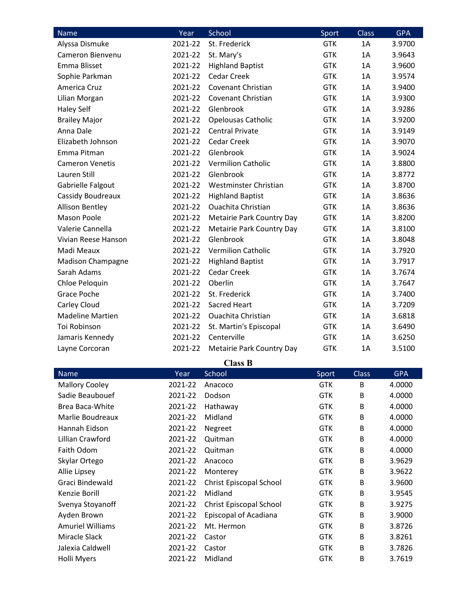| Name                     | Year    | School                    | Sport      | <b>Class</b> | <b>GPA</b> |
|--------------------------|---------|---------------------------|------------|--------------|------------|
| Alyssa Dismuke           | 2021-22 | St. Frederick             | <b>GTK</b> | 1A           | 3.9700     |
| Cameron Bienvenu         | 2021-22 | St. Mary's                | <b>GTK</b> | 1A           | 3.9643     |
| Emma Blisset             | 2021-22 | <b>Highland Baptist</b>   | <b>GTK</b> | 1A           | 3.9600     |
| Sophie Parkman           | 2021-22 | <b>Cedar Creek</b>        | <b>GTK</b> | 1A           | 3.9574     |
| America Cruz             | 2021-22 | Covenant Christian        | <b>GTK</b> | 1A           | 3.9400     |
| Lilian Morgan            | 2021-22 | Covenant Christian        | <b>GTK</b> | 1A           | 3.9300     |
| <b>Haley Self</b>        | 2021-22 | Glenbrook                 | <b>GTK</b> | 1A           | 3.9286     |
| <b>Brailey Major</b>     | 2021-22 | Opelousas Catholic        | <b>GTK</b> | 1A           | 3.9200     |
| Anna Dale                | 2021-22 | <b>Central Private</b>    | <b>GTK</b> | 1A           | 3.9149     |
| Elizabeth Johnson        | 2021-22 | <b>Cedar Creek</b>        | <b>GTK</b> | 1A           | 3.9070     |
| Emma Pitman              | 2021-22 | Glenbrook                 | <b>GTK</b> | 1A           | 3.9024     |
| <b>Cameron Venetis</b>   | 2021-22 | <b>Vermilion Catholic</b> | <b>GTK</b> | 1A           | 3.8800     |
| Lauren Still             | 2021-22 | Glenbrook                 | <b>GTK</b> | 1A           | 3.8772     |
| Gabrielle Falgout        | 2021-22 | Westminster Christian     | <b>GTK</b> | 1A           | 3.8700     |
| Cassidy Boudreaux        | 2021-22 | <b>Highland Baptist</b>   | <b>GTK</b> | 1A           | 3.8636     |
| <b>Allison Bentley</b>   | 2021-22 | <b>Ouachita Christian</b> | <b>GTK</b> | 1A           | 3.8636     |
| <b>Mason Poole</b>       | 2021-22 | Metairie Park Country Day | <b>GTK</b> | 1A           | 3.8200     |
| Valerie Cannella         | 2021-22 | Metairie Park Country Day | <b>GTK</b> | 1A           | 3.8100     |
| Vivian Reese Hanson      | 2021-22 | Glenbrook                 | <b>GTK</b> | 1A           | 3.8048     |
| Madi Meaux               | 2021-22 | <b>Vermilion Catholic</b> | <b>GTK</b> | 1A           | 3.7920     |
| <b>Madison Champagne</b> | 2021-22 | <b>Highland Baptist</b>   | <b>GTK</b> | 1A           | 3.7917     |
| Sarah Adams              | 2021-22 | <b>Cedar Creek</b>        | <b>GTK</b> | 1A           | 3.7674     |
| Chloe Peloquin           | 2021-22 | Oberlin                   | <b>GTK</b> | 1A           | 3.7647     |
| <b>Grace Poche</b>       | 2021-22 | St. Frederick             | <b>GTK</b> | 1A           | 3.7400     |
| Carley Cloud             | 2021-22 | <b>Sacred Heart</b>       | <b>GTK</b> | 1A           | 3.7209     |
| <b>Madeline Martien</b>  | 2021-22 | <b>Ouachita Christian</b> | <b>GTK</b> | 1A           | 3.6818     |
| Toi Robinson             | 2021-22 | St. Martin's Episcopal    | <b>GTK</b> | 1A           | 3.6490     |
| Jamaris Kennedy          | 2021-22 | Centerville               | <b>GTK</b> | 1A           | 3.6250     |
| Layne Corcoran           | 2021-22 | Metairie Park Country Day | <b>GTK</b> | 1A           | 3.5100     |

**Class B**

| Name                    | Year    | School                         | Sport      | Class | <b>GPA</b> |  |
|-------------------------|---------|--------------------------------|------------|-------|------------|--|
| <b>Mallory Cooley</b>   | 2021-22 | Anacoco                        | <b>GTK</b> | B     | 4.0000     |  |
| Sadie Beaubouef         | 2021-22 | Dodson                         | <b>GTK</b> | B     | 4.0000     |  |
| Brea Baca-White         | 2021-22 | Hathaway                       | <b>GTK</b> | B     | 4.0000     |  |
| Marlie Boudreaux        | 2021-22 | Midland                        | <b>GTK</b> | B     | 4.0000     |  |
| Hannah Eidson           | 2021-22 | Negreet                        | <b>GTK</b> | B     | 4.0000     |  |
| Lillian Crawford        | 2021-22 | Quitman                        | <b>GTK</b> | B     | 4.0000     |  |
| Faith Odom              | 2021-22 | Quitman                        | <b>GTK</b> | B     | 4.0000     |  |
| Skylar Ortego           | 2021-22 | Anacoco                        | <b>GTK</b> | B     | 3.9629     |  |
| Allie Lipsey            | 2021-22 | Monterey                       | <b>GTK</b> | B     | 3.9622     |  |
| Graci Bindewald         | 2021-22 | <b>Christ Episcopal School</b> | <b>GTK</b> | B     | 3.9600     |  |
| Kenzie Borill           | 2021-22 | Midland                        | <b>GTK</b> | B     | 3.9545     |  |
| Svenya Stoyanoff        | 2021-22 | Christ Episcopal School        | <b>GTK</b> | B     | 3.9275     |  |
| Ayden Brown             | 2021-22 | Episcopal of Acadiana          | <b>GTK</b> | B     | 3.9000     |  |
| <b>Amuriel Williams</b> | 2021-22 | Mt. Hermon                     | <b>GTK</b> | B     | 3.8726     |  |
| Miracle Slack           | 2021-22 | Castor                         | <b>GTK</b> | B     | 3.8261     |  |
| Jalexia Caldwell        | 2021-22 | Castor                         | <b>GTK</b> | B     | 3.7826     |  |
| Holli Myers             | 2021-22 | Midland                        | <b>GTK</b> | B     | 3.7619     |  |